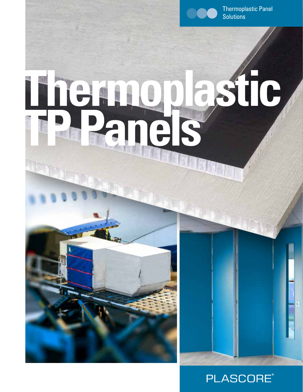

Thermoplastic Panel **Solutions** 

# **Thermoplastic TP Panels**



H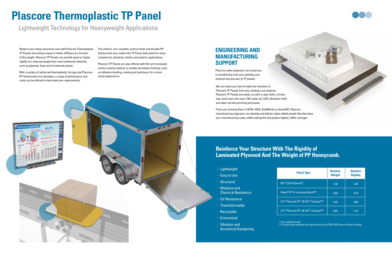## **Plascore Thermoplastic TP Panel**

Lightweight Technology for Heavyweight Applications

Replace your heavy structural core with Plascore Thermoplastic TP Panels and achieve equal or better stiffness at a fraction of the weight. Plascore TP Panels can provide equal or higher rigidity at a reduced weight than most traditional materials, such as plywood, foam and tri-laminate plastic.

With a variety of reinforced thermoplastic facings and Plascore PP Honeycomb core densities, a range of performance and costs can be offered to best meet your requirements.

The uniform, non-cosmetic surface finish and durable PP Honeycomb core, makes the TP Panel well suited for many commercial, industrial, interior and exterior applications.

Plascore TP Panels are also offered with film and nonwoven surface overlay options, to enable secondary finishing, such as adhesive bonding, coating and painting or for a more visual appearance.

> We can show you how to make the transition to Plascore TP Panels from your existing core material. Plascore TP Panels are easily cut with a razor knife, circular saw, band saw, wire saw, CNC water jet, CNC ultrasonic knife and steel rule die punching processes.

From your drawing files in CATIA, IGES, SolidWorks or AutoCAD, Plascore manufacturing engineers can develop and deliver value-added panels that decrease your manufacturing costs, while making the end product lighter, stiffer, stronger.

## **Reinforce Your Structure With The Rigidity of Laminated Plywood And The Weight of PP Honeycomb.**

## • Lightweight • Easy to Use • Structural • Moisture and Chemical Resistance • UV Resistance • Thermoformable • Recyclable • Economical

• Vibration and Acoustical Dampening **\*** Per published data

**\*\*** Actual data obtained through testing per ASTM C393 Flexural Beam Testing

| <b>Panel Type</b>                       | <b>Relative</b><br><b>Weight</b> | <b>Relative</b><br><b>Rigidity</b> |
|-----------------------------------------|----------------------------------|------------------------------------|
| 3/8"T CDX Plywood*                      | 1.00                             | 1.00                               |
| 10mmT PP Tri-Laminate Board**           | 0.55                             | 0.10                               |
| 1/2"T Plascore PP -30 (.02"T facings)** | 0.42                             | 0.80                               |
| 1/2"T Plascore PP -30 (.03"T facings)** | 0.55                             | 1.15                               |





### **ENGINEERING AND MANUFACTURING SUPPORT**

Plascore sales engineers can assist you in transitioning from your existing core material and process to TP panels.